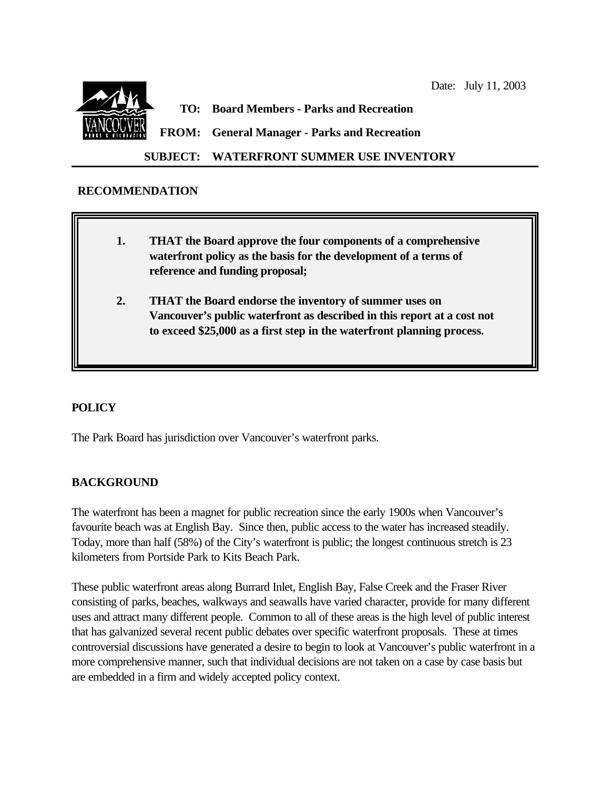

### **SUBJECT: WATERFRONT SUMMER USE INVENTORY**

### **RECOMMENDATION**

- **1. THAT the Board approve the four components of a comprehensive waterfront policy as the basis for the development of a terms of reference and funding proposal;**
- **2. THAT the Board endorse the inventory of summer uses on Vancouver's public waterfront as described in this report at a cost not to exceed \$25,000 as a first step in the waterfront planning process.**

#### **POLICY**

The Park Board has jurisdiction over Vancouver's waterfront parks.

# **BACKGROUND**

The waterfront has been a magnet for public recreation since the early 1900s when Vancouver's favourite beach was at English Bay. Since then, public access to the water has increased steadily. Today, more than half (58%) of the City's waterfront is public; the longest continuous stretch is 23 kilometers from Portside Park to Kits Beach Park.

These public waterfront areas along Burrard Inlet, English Bay, False Creek and the Fraser River consisting of parks, beaches, walkways and seawalls have varied character, provide for many different uses and attract many different people. Common to all of these areas is the high level of public interest that has galvanized several recent public debates over specific waterfront proposals. These at times controversial discussions have generated a desire to begin to look at Vancouver's public waterfront in a more comprehensive manner, such that individual decisions are not taken on a case by case basis but are embedded in a firm and widely accepted policy context.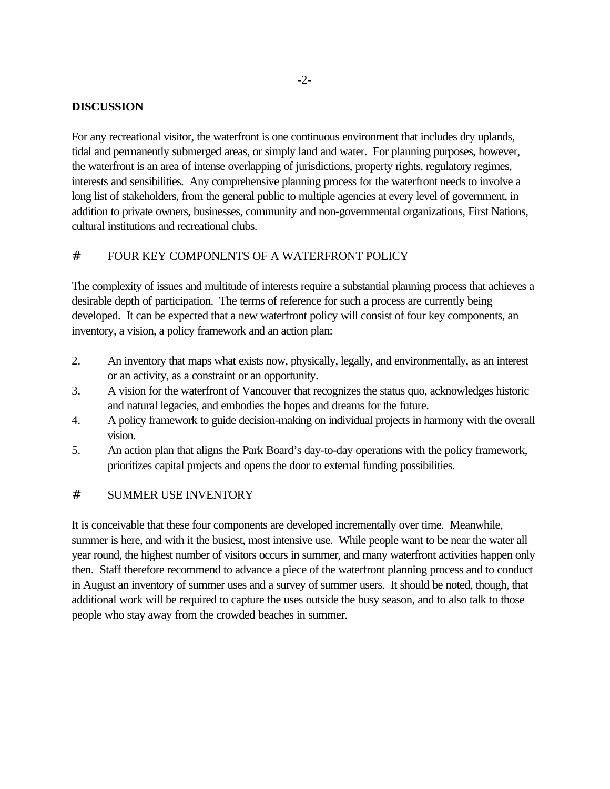#### **DISCUSSION**

For any recreational visitor, the waterfront is one continuous environment that includes dry uplands, tidal and permanently submerged areas, or simply land and water. For planning purposes, however, the waterfront is an area of intense overlapping of jurisdictions, property rights, regulatory regimes, interests and sensibilities. Any comprehensive planning process for the waterfront needs to involve a long list of stakeholders, from the general public to multiple agencies at every level of government, in addition to private owners, businesses, community and non-governmental organizations, First Nations, cultural institutions and recreational clubs.

# # FOUR KEY COMPONENTS OF A WATERFRONT POLICY

The complexity of issues and multitude of interests require a substantial planning process that achieves a desirable depth of participation. The terms of reference for such a process are currently being developed. It can be expected that a new waterfront policy will consist of four key components, an inventory, a vision, a policy framework and an action plan:

- 2. An inventory that maps what exists now, physically, legally, and environmentally, as an interest or an activity, as a constraint or an opportunity.
- 3. A vision for the waterfront of Vancouver that recognizes the status quo, acknowledges historic and natural legacies, and embodies the hopes and dreams for the future.
- 4. A policy framework to guide decision-making on individual projects in harmony with the overall vision.
- 5. An action plan that aligns the Park Board's day-to-day operations with the policy framework, prioritizes capital projects and opens the door to external funding possibilities.

# # SUMMER USE INVENTORY

It is conceivable that these four components are developed incrementally over time. Meanwhile, summer is here, and with it the busiest, most intensive use. While people want to be near the water all year round, the highest number of visitors occurs in summer, and many waterfront activities happen only then. Staff therefore recommend to advance a piece of the waterfront planning process and to conduct in August an inventory of summer uses and a survey of summer users. It should be noted, though, that additional work will be required to capture the uses outside the busy season, and to also talk to those people who stay away from the crowded beaches in summer.